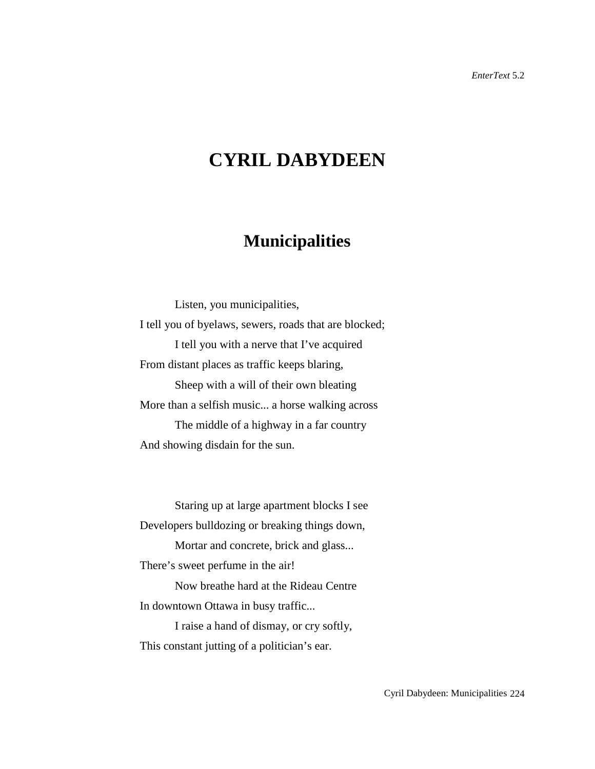## **CYRIL DABYDEEN**

## **Municipalities**

Listen, you municipalities, I tell you of byelaws, sewers, roads that are blocked; I tell you with a nerve that I've acquired From distant places as traffic keeps blaring, Sheep with a will of their own bleating More than a selfish music... a horse walking across The middle of a highway in a far country And showing disdain for the sun.

Staring up at large apartment blocks I see Developers bulldozing or breaking things down,

Mortar and concrete, brick and glass...

There's sweet perfume in the air!

Now breathe hard at the Rideau Centre In downtown Ottawa in busy traffic...

I raise a hand of dismay, or cry softly, This constant jutting of a politician's ear.